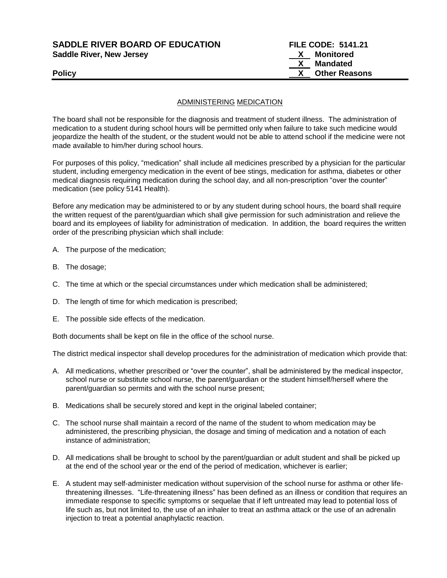**SADDLE RIVER BOARD OF EDUCATION FILE CODE: 5141.21 Saddle River, New Jersey X Monitored**

 **X Mandated Policy X Other Reasons**

### ADMINISTERING MEDICATION

The board shall not be responsible for the diagnosis and treatment of student illness. The administration of medication to a student during school hours will be permitted only when failure to take such medicine would jeopardize the health of the student, or the student would not be able to attend school if the medicine were not made available to him/her during school hours.

For purposes of this policy, "medication" shall include all medicines prescribed by a physician for the particular student, including emergency medication in the event of bee stings, medication for asthma, diabetes or other medical diagnosis requiring medication during the school day, and all non-prescription "over the counter" medication (see policy 5141 Health).

Before any medication may be administered to or by any student during school hours, the board shall require the written request of the parent/guardian which shall give permission for such administration and relieve the board and its employees of liability for administration of medication. In addition, the board requires the written order of the prescribing physician which shall include:

- A. The purpose of the medication;
- B. The dosage;
- C. The time at which or the special circumstances under which medication shall be administered;
- D. The length of time for which medication is prescribed;
- E. The possible side effects of the medication.

Both documents shall be kept on file in the office of the school nurse.

The district medical inspector shall develop procedures for the administration of medication which provide that:

- A. All medications, whether prescribed or "over the counter", shall be administered by the medical inspector, school nurse or substitute school nurse, the parent/guardian or the student himself/herself where the parent/guardian so permits and with the school nurse present;
- B. Medications shall be securely stored and kept in the original labeled container;
- C. The school nurse shall maintain a record of the name of the student to whom medication may be administered, the prescribing physician, the dosage and timing of medication and a notation of each instance of administration;
- D. All medications shall be brought to school by the parent/guardian or adult student and shall be picked up at the end of the school year or the end of the period of medication, whichever is earlier;
- E. A student may self-administer medication without supervision of the school nurse for asthma or other lifethreatening illnesses. "Life-threatening illness" has been defined as an illness or condition that requires an immediate response to specific symptoms or sequelae that if left untreated may lead to potential loss of life such as, but not limited to, the use of an inhaler to treat an asthma attack or the use of an adrenalin injection to treat a potential anaphylactic reaction.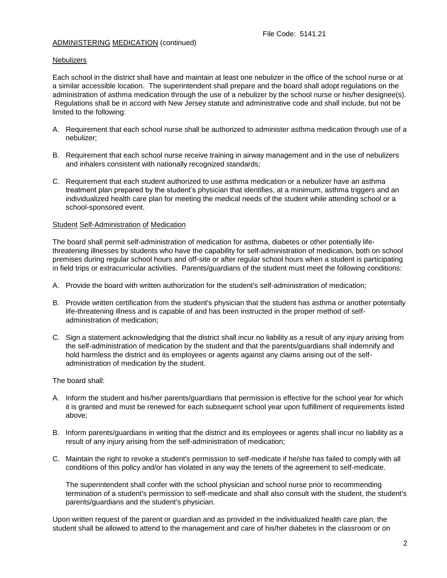#### **Nebulizers**

Each school in the district shall have and maintain at least one nebulizer in the office of the school nurse or at a similar accessible location. The superintendent shall prepare and the board shall adopt regulations on the administration of asthma medication through the use of a nebulizer by the school nurse or his/her designee(s). Regulations shall be in accord with New Jersey statute and administrative code and shall include, but not be limited to the following:

- A. Requirement that each school nurse shall be authorized to administer asthma medication through use of a nebulizer;
- B. Requirement that each school nurse receive training in airway management and in the use of nebulizers and inhalers consistent with nationally recognized standards;
- C. Requirement that each student authorized to use asthma medication or a nebulizer have an asthma treatment plan prepared by the student's physician that identifies, at a minimum, asthma triggers and an individualized health care plan for meeting the medical needs of the student while attending school or a school-sponsored event.

#### Student Self-Administration of Medication

The board shall permit self-administration of medication for asthma, diabetes or other potentially lifethreatening illnesses by students who have the capability for self-administration of medication, both on school premises during regular school hours and off-site or after regular school hours when a student is participating in field trips or extracurricular activities. Parents/guardians of the student must meet the following conditions:

- A. Provide the board with written authorization for the student's self-administration of medication;
- B. Provide written certification from the student's physician that the student has asthma or another potentially life-threatening illness and is capable of and has been instructed in the proper method of selfadministration of medication;
- C. Sign a statement acknowledging that the district shall incur no liability as a result of any injury arising from the self-administration of medication by the student and that the parents/guardians shall indemnify and hold harmless the district and its employees or agents against any claims arising out of the selfadministration of medication by the student.

The board shall:

- A. Inform the student and his/her parents/guardians that permission is effective for the school year for which it is granted and must be renewed for each subsequent school year upon fulfillment of requirements listed above;
- B. Inform parents/guardians in writing that the district and its employees or agents shall incur no liability as a result of any injury arising from the self-administration of medication;
- C. Maintain the right to revoke a student's permission to self-medicate if he/she has failed to comply with all conditions of this policy and/or has violated in any way the tenets of the agreement to self-medicate.

The superintendent shall confer with the school physician and school nurse prior to recommending termination of a student's permission to self-medicate and shall also consult with the student, the student's parents/guardians and the student's physician.

Upon written request of the parent or guardian and as provided in the individualized health care plan, the student shall be allowed to attend to the management and care of his/her diabetes in the classroom or on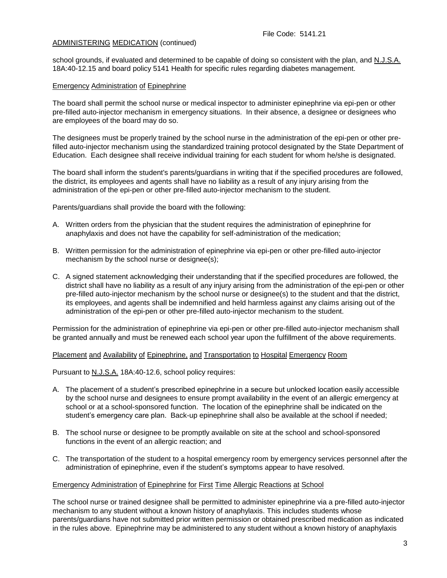school grounds, if evaluated and determined to be capable of doing so consistent with the plan, and N.J.S.A. 18A:40-12.15 and board policy 5141 Health for specific rules regarding diabetes management.

## Emergency Administration of Epinephrine

The board shall permit the school nurse or medical inspector to administer epinephrine via epi-pen or other pre-filled auto-injector mechanism in emergency situations. In their absence, a designee or designees who are employees of the board may do so.

The designees must be properly trained by the school nurse in the administration of the epi-pen or other prefilled auto-injector mechanism using the standardized training protocol designated by the State Department of Education. Each designee shall receive individual training for each student for whom he/she is designated.

The board shall inform the student's parents/guardians in writing that if the specified procedures are followed, the district, its employees and agents shall have no liability as a result of any injury arising from the administration of the epi-pen or other pre-filled auto-injector mechanism to the student.

Parents/guardians shall provide the board with the following:

- A. Written orders from the physician that the student requires the administration of epinephrine for anaphylaxis and does not have the capability for self-administration of the medication;
- B. Written permission for the administration of epinephrine via epi-pen or other pre-filled auto-injector mechanism by the school nurse or designee(s);
- C. A signed statement acknowledging their understanding that if the specified procedures are followed, the district shall have no liability as a result of any injury arising from the administration of the epi-pen or other pre-filled auto-injector mechanism by the school nurse or designee(s) to the student and that the district, its employees, and agents shall be indemnified and held harmless against any claims arising out of the administration of the epi-pen or other pre-filled auto-injector mechanism to the student.

Permission for the administration of epinephrine via epi-pen or other pre-filled auto-injector mechanism shall be granted annually and must be renewed each school year upon the fulfillment of the above requirements.

#### Placement and Availability of Epinephrine, and Transportation to Hospital Emergency Room

Pursuant to N.J.S.A. 18A:40-12.6, school policy requires:

- A. The placement of a student's prescribed epinephrine in a secure but unlocked location easily accessible by the school nurse and designees to ensure prompt availability in the event of an allergic emergency at school or at a school-sponsored function. The location of the epinephrine shall be indicated on the student's emergency care plan. Back-up epinephrine shall also be available at the school if needed;
- B. The school nurse or designee to be promptly available on site at the school and school-sponsored functions in the event of an allergic reaction; and
- C. The transportation of the student to a hospital emergency room by emergency services personnel after the administration of epinephrine, even if the student's symptoms appear to have resolved.

### Emergency Administration of Epinephrine for First Time Allergic Reactions at School

The school nurse or trained designee shall be permitted to administer epinephrine via a pre-filled auto-injector mechanism to any student without a known history of anaphylaxis. This includes students whose parents/guardians have not submitted prior written permission or obtained prescribed medication as indicated in the rules above. Epinephrine may be administered to any student without a known history of anaphylaxis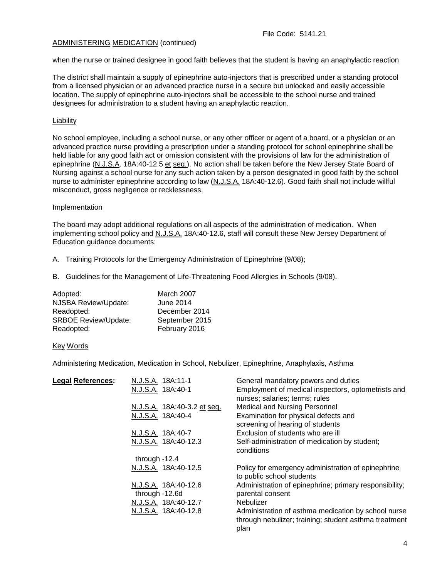when the nurse or trained designee in good faith believes that the student is having an anaphylactic reaction

The district shall maintain a supply of epinephrine auto-injectors that is prescribed under a standing protocol from a licensed physician or an advanced practice nurse in a secure but unlocked and easily accessible location. The supply of epinephrine auto-injectors shall be accessible to the school nurse and trained designees for administration to a student having an anaphylactic reaction.

# **Liability**

No school employee, including a school nurse, or any other officer or agent of a board, or a physician or an advanced practice nurse providing a prescription under a standing protocol for school epinephrine shall be held liable for any good faith act or omission consistent with the provisions of law for the administration of epinephrine (N.J.S.A. 18A:40-12.5 et seq.). No action shall be taken before the New Jersey State Board of Nursing against a school nurse for any such action taken by a person designated in good faith by the school nurse to administer epinephrine according to law (N.J.S.A. 18A:40-12.6). Good faith shall not include willful misconduct, gross negligence or recklessness.

#### Implementation

The board may adopt additional regulations on all aspects of the administration of medication. When implementing school policy and N.J.S.A. 18A:40-12.6, staff will consult these New Jersey Department of Education guidance documents:

- A. Training Protocols for the Emergency Administration of Epinephrine (9/08);
- B. Guidelines for the Management of Life-Threatening Food Allergies in Schools (9/08).

| Adopted:                    | March 2007     |
|-----------------------------|----------------|
| NJSBA Review/Update:        | June 2014      |
| Readopted:                  | December 2014  |
| <b>SRBOE Review/Update:</b> | September 2015 |
| Readopted:                  | February 2016  |

#### Key Words

Administering Medication, Medication in School, Nebulizer, Epinephrine, Anaphylaxis, Asthma

| <b>Legal References:</b> | N.J.S.A. 18A:11-1                      | General mandatory powers and duties                                                                                  |
|--------------------------|----------------------------------------|----------------------------------------------------------------------------------------------------------------------|
|                          | N.J.S.A. 18A:40-1                      | Employment of medical inspectors, optometrists and<br>nurses; salaries; terms; rules                                 |
|                          | N.J.S.A. 18A:40-3.2 et seq.            | <b>Medical and Nursing Personnel</b>                                                                                 |
|                          | N.J.S.A. 18A:40-4                      | Examination for physical defects and<br>screening of hearing of students                                             |
|                          | N.J.S.A. 18A:40-7                      | Exclusion of students who are ill                                                                                    |
|                          | N.J.S.A. 18A:40-12.3                   | Self-administration of medication by student;<br>conditions                                                          |
|                          | through -12.4                          |                                                                                                                      |
|                          | N.J.S.A. 18A:40-12.5                   | Policy for emergency administration of epinephrine<br>to public school students                                      |
|                          | N.J.S.A. 18A:40-12.6<br>through -12.6d | Administration of epinephrine; primary responsibility;<br>parental consent                                           |
|                          | N.J.S.A. 18A:40-12.7                   | Nebulizer                                                                                                            |
|                          | N.J.S.A. 18A:40-12.8                   | Administration of asthma medication by school nurse<br>through nebulizer; training; student asthma treatment<br>plan |